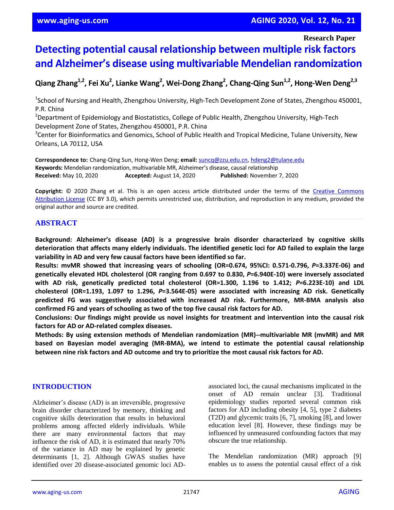**Research Paper**

# **Detecting potential causal relationship between multiple risk factors and Alzheimer's disease using multivariable Mendelian randomization**

**Qiang Zhang1,2, Fei Xu 2 , Lianke Wang<sup>2</sup> , Wei-Dong Zhang<sup>2</sup> , Chang-Qing Sun1,2 , Hong-Wen Deng2,3**

<sup>1</sup>School of Nursing and Health, Zhengzhou University, High-Tech Development Zone of States, Zhengzhou 450001, P.R. China

<sup>2</sup>Department of Epidemiology and Biostatistics, College of Public Health, Zhengzhou University, High-Tech Development Zone of States, Zhengzhou 450001, P.R. China

<sup>3</sup>Center for Bioinformatics and Genomics, School of Public Health and Tropical Medicine, Tulane University, New Orleans, LA 70112, USA

**Correspondence to:** Chang-Qing Sun, Hong-Wen Deng; **email:** suncq@zzu.edu.cn, hdeng2@tulane.edu **Keywords:** Mendelian randomization, multivariable MR, Alzheimer's disease, causal relationship **Received:** May 10, 2020 **Accepted:** August 14, 2020 **Published:** November 7, 2020

**Copyright:** © 2020 Zhang et al. This is an open access article distributed under the terms of the Creative Commons Attribution License (CC BY 3.0), which permits unrestricted use, distribution, and reproduction in any medium, provided the original author and source are credited.

# **ABSTRACT**

**Background: Alzheimer's disease (AD) is a progressive brain disorder characterized by cognitive skills** deterioration that affects many elderly individuals. The identified genetic loci for AD failed to explain the large **variability in AD and very few causal factors have been identified so far.**

**Results: mvMR showed that increasing years of schooling (OR=0.674, 95%CI: 0.571-0.796,** *P***=3.337E-06) and genetically elevated HDL cholesterol (OR ranging from 0.697 to 0.830,** *P***=6.940E-10) were inversely associated with AD risk, genetically predicted total cholesterol (OR=1.300, 1.196 to 1.412;** *P***=6.223E-10) and LDL cholesterol (OR=1.193, 1.097 to 1.296,** *P***=3.564E-05) were associated with increasing AD risk. Genetically predicted FG was suggestively associated with increased AD risk. Furthermore, MR-BMA analysis also confirmed FG and years of schooling as two of the top five causal risk factors for AD.**

**Conclusions: Our findings might provide us novel insights for treatment and intervention into the causal risk factors for AD or AD-related complex diseases.**

**Methods: By using extension methods of Mendelian randomization (MR)--multivariable MR (mvMR) and MR based on Bayesian model averaging (MR-BMA), we intend to estimate the potential causal relationship** between nine risk factors and AD outcome and try to prioritize the most causal risk factors for AD.

### **INTRODUCTION**

Alzheimer's disease (AD) is an irreversible, progressive brain disorder characterized by memory, thinking and cognitive skills deterioration that results in behavioral problems among affected elderly individuals. While there are many environmental factors that may influence the risk of AD, it is estimated that nearly 70% of the variance in AD may be explained by genetic determinants [1, 2]. Although GWAS studies have identified over 20 disease-associated genomic loci AD-

associated loci, the causal mechanisms implicated in the onset of AD remain unclear [3]. Traditional epidemiology studies reported several common risk factors for AD including obesity [4, 5], type 2 diabetes (T2D) and glycemic traits [6, 7], smoking [8], and lower education level [8]. However, these findings may be influenced by unmeasured confounding factors that may obscure the true relationship.

The Mendelian randomization (MR) approach [9] enables us to assess the potential causal effect of a risk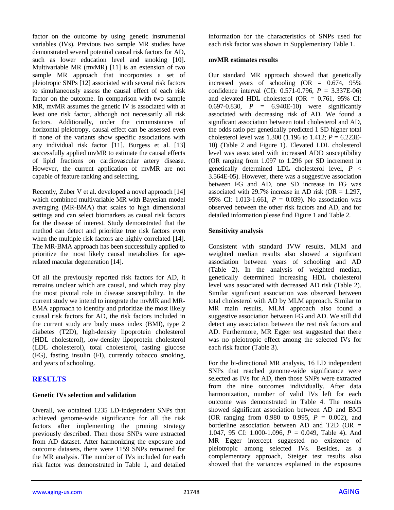factor on the outcome by using genetic instrumental variables (IVs). Previous two sample MR studies have demonstrated several potential causal risk factors for AD, such as lower education level and smoking [10]. Multivariable MR (mvMR) [11] is an extension of two sample MR approach that incorporates a set of pleiotropic SNPs [12] associated with several risk factors to simultaneously assess the causal effect of each risk factor on the outcome. In comparison with two sample MR, mvMR assumes the genetic IV is associated with at least one risk factor, although not necessarily all risk factors. Additionally, under the circumstances of horizontal pleiotropy, causal effect can be assessed even if none of the variants show specific associations with any individual risk factor [11]. Burgess et al. [13] successfully applied mvMR to estimate the causal effects of lipid fractions on cardiovascular artery disease. However, the current application of mvMR are not capable of feature ranking and selecting.

Recently, Zuber V et al. developed a novel approach [14] which combined multivariable MR with Bayesian model averaging (MR-BMA) that scales to high dimensional settings and can select biomarkers as causal risk factors for the disease of interest. Study demonstrated that the method can detect and prioritize true risk factors even when the multiple risk factors are highly correlated [14]. The MR-BMA approach has been successfully applied to prioritize the most likely causal metabolites for agerelated macular degeneration [14].

Of all the previously reported risk factors for AD, it remains unclear which are causal, and which may play the most pivotal role in disease susceptibility. In the current study we intend to integrate the mvMR and MR-BMA approach to identify and prioritize the most likely causal risk factors for AD, the risk factors included in the current study are body mass index (BMI), type 2 diabetes (T2D), high-density lipoprotein cholesterol (HDL cholesterol), low-density lipoprotein cholesterol (LDL cholesterol), total cholesterol, fasting glucose (FG), fasting insulin (FI), currently tobacco smoking, and years of schooling.

# **RESULTS**

### **Genetic IVs selection and validation**

Overall, we obtained 1235 LD-independent SNPs that achieved genome-wide significance for all the risk factors after implementing the pruning strategy previously described. Then those SNPs were extracted from AD dataset. After harmonizing the exposure and outcome datasets, there were 1159 SNPs remained for the MR analysis. The number of IVs included for each risk factor was demonstrated in Table 1, and detailed information for the characteristics of SNPs used for each risk factor was shown in Supplementary Table 1.

### **mvMR estimates results**

Our standard MR approach showed that genetically increased years of schooling  $(OR = 0.674, 95\%)$ confidence interval (CI): 0.571-0.796, *P* = 3.337E-06) and elevated HDL cholesterol (OR  $= 0.761, 95\%$  CI: 0.697-0.830, *P* = 6.940E-10) were significantly associated with decreasing risk of AD. We found a significant association between total cholesterol and AD, the odds ratio per genetically predicted 1 SD higher total cholesterol level was 1.300 (1.196 to 1.412; *P* = 6.223E-10) (Table 2 and Figure 1). Elevated LDL cholesterol level was associated with increased ADD susceptibility (OR ranging from 1.097 to 1.296 per SD increment in genetically determined LDL cholesterol level, *P* < 3.564E-05). However, there was a suggestive association between FG and AD, one SD increase in FG was associated with 29.7% increase in AD risk (OR  $= 1.297$ , 95% CI: 1.013-1.661, *P* = 0.039). No association was observed between the other risk factors and AD, and for detailed information please find Figure 1 and Table 2.

#### **Sensitivity analysis**

Consistent with standard IVW results, MLM and weighted median results also showed a significant association between years of schooling and AD (Table 2). In the analysis of weighted median, genetically determined increasing HDL cholesterol level was associated with decreased AD risk (Table 2). Similar significant association was observed between total cholesterol with AD by MLM approach. Similar to MR main results, MLM approach also found a suggestive association between FG and AD. We still did detect any association between the rest risk factors and AD. Furthermore, MR Egger test suggested that there was no pleiotropic effect among the selected IVs for each risk factor (Table 3).

For the bi-directional MR analysis, 16 LD independent SNPs that reached genome-wide significance were selected as IVs for AD, then those SNPs were extracted from the nine outcomes individually. After data harmonization, number of valid IVs left for each outcome was demonstrated in Table 4. The results showed significant association between AD and BMI (OR ranging from 0.980 to 0.995, *P* = 0.002), and borderline association between AD and T2D  $(OR =$ 1.047, 95 CI: 1.000-1.096, *P* = 0.049, Table 4). And MR Egger intercept suggested no existence of pleiotropic among selected IVs. Besides, as a complementary approach, Steiger test results also showed that the variances explained in the exposures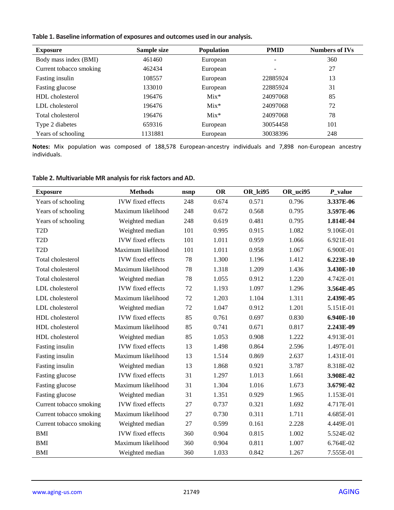**Table 1. Baseline information of exposures and outcomes used in our analysis.**

| <b>Exposure</b>         | Sample size | <b>Population</b> | <b>PMID</b>              | <b>Numbers of IVs</b> |
|-------------------------|-------------|-------------------|--------------------------|-----------------------|
| Body mass index (BMI)   | 461460      | European          | $\overline{\phantom{a}}$ | 360                   |
| Current tobacco smoking | 462434      | European          |                          | 27                    |
| Fasting insulin         | 108557      | European          | 22885924                 | 13                    |
| Fasting glucose         | 133010      | European          | 22885924                 | 31                    |
| HDL cholesterol         | 196476      | $Mix^*$           | 24097068                 | 85                    |
| LDL cholesterol         | 196476      | $Mix*$            | 24097068                 | 72                    |
| Total cholesterol       | 196476      | $Mix*$            | 24097068                 | 78                    |
| Type 2 diabetes         | 659316      | European          | 30054458                 | 101                   |
| Years of schooling      | 1131881     | European          | 30038396                 | 248                   |

**Notes:** Mix population was composed of 188,578 European-ancestry individuals and 7,898 non-European ancestry individuals.

| <b>Exposure</b>         | <b>Methods</b>           | nsnp | <b>OR</b> | OR_lci95 | OR_uci95 | $P$ _value |
|-------------------------|--------------------------|------|-----------|----------|----------|------------|
| Years of schooling      | <b>IVW</b> fixed effects | 248  | 0.674     | 0.571    | 0.796    | 3.337E-06  |
| Years of schooling      | Maximum likelihood       | 248  | 0.672     | 0.568    | 0.795    | 3.597E-06  |
| Years of schooling      | Weighted median          | 248  | 0.619     | 0.481    | 0.795    | 1.814E-04  |
| T <sub>2</sub> D        | Weighted median          | 101  | 0.995     | 0.915    | 1.082    | 9.106E-01  |
| T <sub>2</sub> D        | <b>IVW</b> fixed effects | 101  | 1.011     | 0.959    | 1.066    | 6.921E-01  |
| T <sub>2</sub> D        | Maximum likelihood       | 101  | 1.011     | 0.958    | 1.067    | 6.900E-01  |
| Total cholesterol       | <b>IVW</b> fixed effects | 78   | 1.300     | 1.196    | 1.412    | 6.223E-10  |
| Total cholesterol       | Maximum likelihood       | 78   | 1.318     | 1.209    | 1.436    | 3.430E-10  |
| Total cholesterol       | Weighted median          | 78   | 1.055     | 0.912    | 1.220    | 4.742E-01  |
| LDL cholesterol         | <b>IVW</b> fixed effects | 72   | 1.193     | 1.097    | 1.296    | 3.564E-05  |
| LDL cholesterol         | Maximum likelihood       | 72   | 1.203     | 1.104    | 1.311    | 2.439E-05  |
| LDL cholesterol         | Weighted median          | 72   | 1.047     | 0.912    | 1.201    | 5.151E-01  |
| HDL cholesterol         | <b>IVW</b> fixed effects | 85   | 0.761     | 0.697    | 0.830    | 6.940E-10  |
| HDL cholesterol         | Maximum likelihood       | 85   | 0.741     | 0.671    | 0.817    | 2.243E-09  |
| HDL cholesterol         | Weighted median          | 85   | 1.053     | 0.908    | 1.222    | 4.913E-01  |
| Fasting insulin         | <b>IVW</b> fixed effects | 13   | 1.498     | 0.864    | 2.596    | 1.497E-01  |
| Fasting insulin         | Maximum likelihood       | 13   | 1.514     | 0.869    | 2.637    | 1.431E-01  |
| Fasting insulin         | Weighted median          | 13   | 1.868     | 0.921    | 3.787    | 8.318E-02  |
| Fasting glucose         | <b>IVW</b> fixed effects | 31   | 1.297     | 1.013    | 1.661    | 3.908E-02  |
| Fasting glucose         | Maximum likelihood       | 31   | 1.304     | 1.016    | 1.673    | 3.679E-02  |
| Fasting glucose         | Weighted median          | 31   | 1.351     | 0.929    | 1.965    | 1.153E-01  |
| Current tobacco smoking | <b>IVW</b> fixed effects | 27   | 0.737     | 0.321    | 1.692    | 4.717E-01  |
| Current tobacco smoking | Maximum likelihood       | 27   | 0.730     | 0.311    | 1.711    | 4.685E-01  |
| Current tobacco smoking | Weighted median          | 27   | 0.599     | 0.161    | 2.228    | 4.449E-01  |
| <b>BMI</b>              | <b>IVW</b> fixed effects | 360  | 0.904     | 0.815    | 1.002    | 5.524E-02  |
| <b>BMI</b>              | Maximum likelihood       | 360  | 0.904     | 0.811    | 1.007    | 6.764E-02  |
| <b>BMI</b>              | Weighted median          | 360  | 1.033     | 0.842    | 1.267    | 7.555E-01  |

**Table 2. Multivariable MR analysis for risk factors and AD.**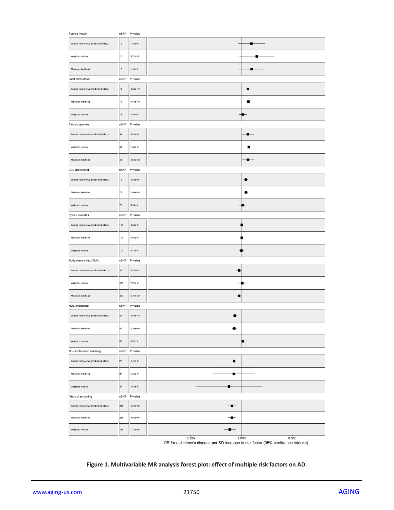| Fasting insulin                           |      | nSNP P-value |                             |       |
|-------------------------------------------|------|--------------|-----------------------------|-------|
| Inverse variance weighted (fixed effects) | 13   | 1.50e-01     |                             |       |
| Weighted median                           | 13   | 8.22e-02     |                             |       |
| Maximum likelihood                        | 13   | $1.43e - 01$ |                             |       |
| Total cholesterol                         | nSNP | P-value      |                             |       |
| Inverse variance weighted (fixed effects) | 78   | $6.22e - 10$ |                             | ݮ     |
| Maximum likelihood                        | 78   | $3.43e - 10$ |                             |       |
| Weighted median                           | 78   | $4.85e - 01$ |                             |       |
| Fasting glucose                           | nSNP | P-value      |                             |       |
| Inverse variance weighted (fixed effects) | 31   | $3.91e-02$   |                             | ٠     |
| Weighted median                           | 31   | $1.04e - 01$ |                             |       |
| Maximum likelihood                        | 31   | $3.68e - 02$ |                             |       |
| LDL cholesterol                           |      | nSNP P-value |                             |       |
| Inverse variance weighted (fixed effects) | 72   | $3.56e - 05$ |                             | 톱     |
| Maximum likelihood                        | 72   | $2.44e-05$   |                             | - 2   |
| Weighted median                           | 72   | $5.24e - 01$ |                             |       |
| Type 2 diabetes                           | nSNP | P-value      |                             |       |
| Inverse variance weighted (fixed effects) | 101  | $6.92e - 01$ |                             |       |
| Maximum likelihood                        | 101  | $6.90e - 01$ |                             |       |
| Weighted median                           | 101  | $9.11e - 01$ |                             |       |
| Body mass index (BMI)                     | nSNP | P-value      |                             |       |
| Inverse variance weighted (fixed effects) | 360  | $5.52e - 02$ | -                           |       |
| Weighted median                           | 360  | $7.57e - 01$ |                             |       |
| Maximum likelihood                        | 360  | $6.76e - 02$ | ⊣                           |       |
| <b>HDL</b> cholesterol                    | nSNP | P-value      |                             |       |
| Inverse variance weighted (fixed effects) | 85   | $6.94e-10$   |                             |       |
| Maximum likelihood                        | 85   | $2.24e - 09$ | ٠                           |       |
| Weighted median                           | 85   | $4.95e - 01$ |                             |       |
| Current tobacco smoking                   |      | nSNP P-value |                             |       |
| Inverse variance weighted (fixed effects) | 27   | 4.72e-01     | s                           |       |
| Maximum likelihood                        | 27   | $4.68e - 01$ |                             |       |
| Weighted median                           | 27   | $4.63e - 01$ |                             |       |
| Years of schooling                        | nSNP | P-value      |                             |       |
| Inverse variance weighted (fixed effects) | 248  | $3.34e - 06$ | ╼╋╾                         |       |
| Maximum likelihood                        | 248  | $3.60e - 06$ | ╼                           |       |
| Weighted median                           | 248  | $1.72e - 04$ | $\bullet$<br>0.125<br>1.000 | 8.000 |
|                                           |      |              |                             |       |

OR for alzheimer's disease per SD increase in risk factor (95% confidence interval)

**Figure 1. Multivariable MR analysis forest plot: effect of multiple risk factors on AD.**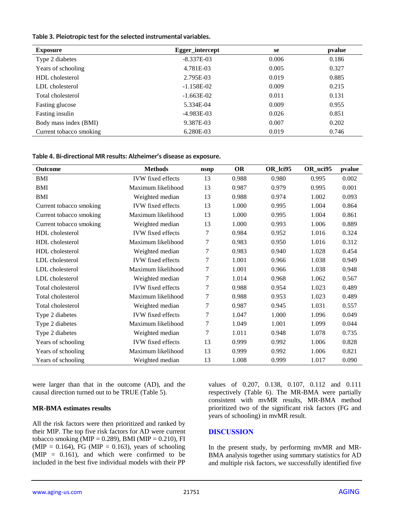#### **Table 3. Pleiotropic test for the selected instrumental variables.**

| <b>Exposure</b>         | Egger_intercept | se    | pvalue |
|-------------------------|-----------------|-------|--------|
| Type 2 diabetes         | $-8.337E-03$    | 0.006 | 0.186  |
| Years of schooling      | 4.781E-03       | 0.005 | 0.327  |
| HDL cholesterol         | 2.795E-03       | 0.019 | 0.885  |
| LDL cholesterol         | $-1.158E-02$    | 0.009 | 0.215  |
| Total cholesterol       | $-1.663E-02$    | 0.011 | 0.131  |
| Fasting glucose         | 5.334E-04       | 0.009 | 0.955  |
| Fasting insulin         | -4.983E-03      | 0.026 | 0.851  |
| Body mass index (BMI)   | 9.387E-03       | 0.007 | 0.202  |
| Current tobacco smoking | 6.280E-03       | 0.019 | 0.746  |

**Table 4. Bi-directional MR results: Alzheimer's disease as exposure.**

| <b>Outcome</b>          | <b>Methods</b>           | nsnp           | <b>OR</b> | OR_lci95 | OR_uci95 | pvalue |
|-------------------------|--------------------------|----------------|-----------|----------|----------|--------|
| BMI                     | <b>IVW</b> fixed effects | 13             | 0.988     | 0.980    | 0.995    | 0.002  |
| <b>BMI</b>              | Maximum likelihood       | 13             | 0.987     | 0.979    | 0.995    | 0.001  |
| <b>BMI</b>              | Weighted median          | 13             | 0.988     | 0.974    | 1.002    | 0.093  |
| Current tobacco smoking | <b>IVW</b> fixed effects | 13             | 1.000     | 0.995    | 1.004    | 0.864  |
| Current tobacco smoking | Maximum likelihood       | 13             | 1.000     | 0.995    | 1.004    | 0.861  |
| Current tobacco smoking | Weighted median          | 13             | 1.000     | 0.993    | 1.006    | 0.889  |
| HDL cholesterol         | <b>IVW</b> fixed effects | 7              | 0.984     | 0.952    | 1.016    | 0.324  |
| HDL cholesterol         | Maximum likelihood       | 7              | 0.983     | 0.950    | 1.016    | 0.312  |
| HDL cholesterol         | Weighted median          | $\overline{7}$ | 0.983     | 0.940    | 1.028    | 0.454  |
| LDL cholesterol         | <b>IVW</b> fixed effects | 7              | 1.001     | 0.966    | 1.038    | 0.949  |
| LDL cholesterol         | Maximum likelihood       | 7              | 1.001     | 0.966    | 1.038    | 0.948  |
| LDL cholesterol         | Weighted median          | 7              | 1.014     | 0.968    | 1.062    | 0.567  |
| Total cholesterol       | <b>IVW</b> fixed effects | 7              | 0.988     | 0.954    | 1.023    | 0.489  |
| Total cholesterol       | Maximum likelihood       | 7              | 0.988     | 0.953    | 1.023    | 0.489  |
| Total cholesterol       | Weighted median          | 7              | 0.987     | 0.945    | 1.031    | 0.557  |
| Type 2 diabetes         | <b>IVW</b> fixed effects | 7              | 1.047     | 1.000    | 1.096    | 0.049  |
| Type 2 diabetes         | Maximum likelihood       | 7              | 1.049     | 1.001    | 1.099    | 0.044  |
| Type 2 diabetes         | Weighted median          | 7              | 1.011     | 0.948    | 1.078    | 0.735  |
| Years of schooling      | <b>IVW</b> fixed effects | 13             | 0.999     | 0.992    | 1.006    | 0.828  |
| Years of schooling      | Maximum likelihood       | 13             | 0.999     | 0.992    | 1.006    | 0.821  |
| Years of schooling      | Weighted median          | 13             | 1.008     | 0.999    | 1.017    | 0.090  |

were larger than that in the outcome (AD), and the causal direction turned out to be TRUE (Table 5).

### **MR-BMA estimates results**

All the risk factors were then prioritized and ranked by their MIP. The top five risk factors for AD were current tobacco smoking (MIP =  $0.289$ ), BMI (MIP =  $0.210$ ), FI  $(MIP = 0.164)$ , FG (MIP = 0.163), years of schooling  $(MIP = 0.161)$ , and which were confirmed to be included in the best five individual models with their PP

values of 0.207, 0.138, 0.107, 0.112 and 0.111 respectively (Table 6). The MR-BMA were partially consistent with mvMR results, MR-BMA method prioritized two of the significant risk factors (FG and years of schooling) in mvMR result.

# **DISCUSSION**

In the present study, by performing mvMR and MR-BMA analysis together using summary statistics for AD and multiple risk factors, we successfully identified five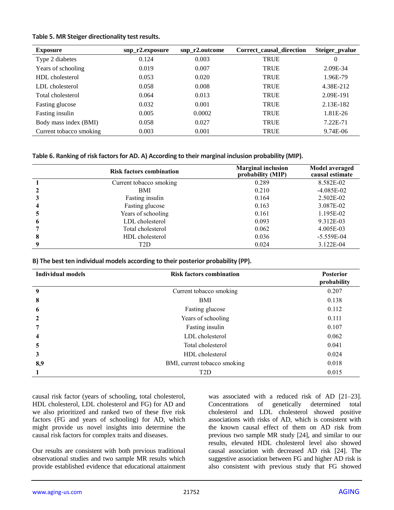|  |  |  | Table 5. MR Steiger directionality test results. |  |  |
|--|--|--|--------------------------------------------------|--|--|
|--|--|--|--------------------------------------------------|--|--|

| <b>Exposure</b>         | snp_r2.exposure | snp_r2.outcome | Correct causal direction | Steiger_pvalue |
|-------------------------|-----------------|----------------|--------------------------|----------------|
| Type 2 diabetes         | 0.124           | 0.003          | <b>TRUE</b>              | 0              |
| Years of schooling      | 0.019           | 0.007          | <b>TRUE</b>              | 2.09E-34       |
| HDL cholesterol         | 0.053           | 0.020          | <b>TRUE</b>              | 1.96E-79       |
| LDL cholesterol         | 0.058           | 0.008          | <b>TRUE</b>              | 4.38E-212      |
| Total cholesterol       | 0.064           | 0.013          | <b>TRUE</b>              | 2.09E-191      |
| Fasting glucose         | 0.032           | 0.001          | TRUE                     | 2.13E-182      |
| Fasting insulin         | 0.005           | 0.0002         | <b>TRUE</b>              | 1.81E-26       |
| Body mass index (BMI)   | 0.058           | 0.027          | <b>TRUE</b>              | 7.22E-71       |
| Current tobacco smoking | 0.003           | 0.001          | <b>TRUE</b>              | 9.74E-06       |

**Table 6. Ranking of risk factors for AD. A) According to their marginal inclusion probability (MIP).**

|   | <b>Risk factors combination</b> | <b>Marginal inclusion</b><br>probability (MIP) | <b>Model averaged</b><br>causal estimate |
|---|---------------------------------|------------------------------------------------|------------------------------------------|
|   | Current tobacco smoking         | 0.289                                          | 8.582E-02                                |
|   | BMI                             | 0.210                                          | $-4.085E-02$                             |
|   | Fasting insulin                 | 0.164                                          | 2.502E-02                                |
|   | Fasting glucose                 | 0.163                                          | 3.087E-02                                |
|   | Years of schooling              | 0.161                                          | 1.195E-02                                |
| 6 | LDL cholesterol                 | 0.093                                          | 9.312E-03                                |
|   | Total cholesterol               | 0.062                                          | 4.005E-03                                |
| 8 | HDL cholesterol                 | 0.036                                          | $-5.559E-04$                             |
|   | T2D                             | 0.024                                          | 3.122E-04                                |

**B) The best ten individual models according to their posterior probability (PP).**

| <b>Individual models</b> | <b>Risk factors combination</b> | <b>Posterior</b><br>probability |
|--------------------------|---------------------------------|---------------------------------|
| 9                        | Current tobacco smoking         | 0.207                           |
| 8                        | BMI                             | 0.138                           |
| 6                        | Fasting glucose                 | 0.112                           |
| $\overline{2}$           | Years of schooling              | 0.111                           |
| 7                        | Fasting insulin                 | 0.107                           |
| 4                        | LDL cholesterol                 | 0.062                           |
| 5                        | Total cholesterol               | 0.041                           |
| 3                        | HDL cholesterol                 | 0.024                           |
| 8,9                      | BMI, current tobacco smoking    | 0.018                           |
|                          | T <sub>2</sub> D                | 0.015                           |

causal risk factor (years of schooling, total cholesterol, HDL cholesterol, LDL cholesterol and FG) for AD and we also prioritized and ranked two of these five risk factors (FG and years of schooling) for AD, which might provide us novel insights into determine the causal risk factors for complex traits and diseases.

Our results are consistent with both previous traditional observational studies and two sample MR results which provide established evidence that educational attainment was associated with a reduced risk of AD [21–23]. Concentrations of genetically determined total cholesterol and LDL cholesterol showed positive associations with risks of AD, which is consistent with the known causal effect of them on AD risk from previous two sample MR study [24], and similar to our results, elevated HDL cholesterol level also showed causal association with decreased AD risk [24]. The suggestive association between FG and higher AD risk is also consistent with previous study that FG showed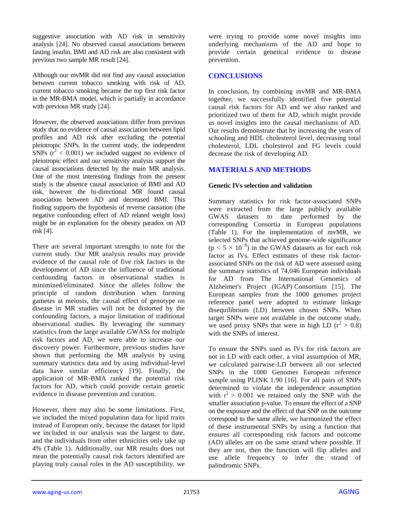suggestive association with AD risk in sensitivity analysis [24]. No observed causal associations between fasting insulin, BMI and AD risk are also consistent with previous two sample MR result [24].

Although our mvMR did not find any causal association between current tobacco smoking with risk of AD, current tobacco smoking became the top first risk factor in the MR-BMA model, which is partially in accordance with previous MR study [24].

However, the observed associations differ from previous study that no evidence of causal association between lipid profiles and AD risk after excluding the potential pleiotropic SNPs. In the current study, the independent SNPs  $(r^2 < 0.001)$  we included suggest no evidence of pleiotropic effect and our sensitivity analysis support the causal associations detected by the main MR analysis. One of the most interesting findings from the present study is the absence causal association of BMI and AD risk, however the bi-directional MR found causal association between AD and decreased BMI. This finding supports the hypothesis of reverse causation (the negative confounding effect of AD related weight loss) might be an explanation for the obesity paradox on AD risk [4].

There are several important strengths to note for the current study. Our MR analysis results may provide evidence of the causal role of five risk factors in the development of AD since the influence of traditional confounding factors in observational studies is minimized/eliminated. Since the alleles follow the principle of random distribution when forming gametes at meiosis, the causal effect of genotype on disease in MR studies will not be distorted by the confounding factors, a major limitation of traditional observational studies. By leveraging the summary statistics from the large available GWASs for multiple risk factors and AD, we were able to increase our discovery power. Furthermore, previous studies have shown that performing the MR analysis by using summary statistics data and by using individual-level data have similar efficiency [19]. Finally, the application of MR-BMA ranked the potential risk factors for AD, which could provide certain genetic evidence in disease prevention and curation.

However, there may also be some limitations. First, we included the mixed population data for lipid traits instead of European only, because the dataset for lipid we included in our analysis was the largest to date, and the individuals from other ethnicities only take up 4% (Table 1). Additionally, our MR results does not mean the potentially causal risk factors identified are playing truly causal roles in the AD susceptibility, we

were trying to provide some novel insights into underlying mechanisms of the AD and hope to provide certain genetical evidence to disease prevention.

# **CONCLUSIONS**

In conclusion, by combining mvMR and MR-BMA together, we successfully identified five potential causal risk factors for AD and we also ranked and prioritized two of them for AD, which might provide us novel insights into the causal mechanisms of AD. Our results demonstrate that by increasing the years of schooling and HDL cholesterol level, decreasing total cholesterol, LDL cholesterol and FG levels could decrease the risk of developing AD.

# **MATERIALS AND METHODS**

### **Genetic IVs selection and validation**

Summary statistics for risk factor-associated SNPs were extracted from the large publicly available GWAS datasets to date performed by the corresponding Consortia in European populations (Table 1). For the implementation of mvMR, we selected SNPs that achieved genome-wide significance  $(p < 5 \times 10^{-8})$  in the GWAS datasets as for each risk factor as IVs. Effect estimates of these risk factorassociated SNPs on the risk of AD were assessed using the summary statistics of 74,046 European individuals for AD from The International Genomics of Alzheimer's Project (IGAP) Consortium [15]. The European samples from the 1000 genomes project reference panel were adopted to estimate linkage disequilibrium (LD) between chosen SNPs. When target SNPs were not available in the outcome study, we used proxy SNPs that were in high LD  $(r^2 > 0.8)$ with the SNPs of interest.

To ensure the SNPs used as IVs for risk factors are not in LD with each other, a vital assumption of MR, we calculated pairwise-LD between all our selected SNPs in the 1000 Genomes European reference sample using PLINK 1.90 [16]. For all pairs of SNPs determined to violate the independence assumption with  $r^2 > 0.001$  we retained only the SNP with the smaller association p-value. To ensure the effect of a SNP on the exposure and the effect of that SNP on the outcome correspond to the same allele, we harmonized the effect of these instrumental SNPs by using a function that ensures all corresponding risk factors and outcome (AD) alleles are on the same strand where possible. If they are not, then the function will flip alleles and use allele frequency to infer the strand of palindromic SNPs.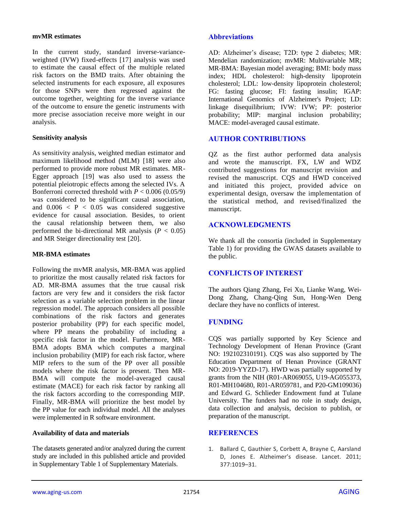#### **mvMR estimates**

In the current study, standard inverse-varianceweighted (IVW) fixed-effects [17] analysis was used to estimate the causal effect of the multiple related risk factors on the BMD traits. After obtaining the selected instruments for each exposure, all exposures for those SNPs were then regressed against the outcome together, weighting for the inverse variance of the outcome to ensure the genetic instruments with more precise association receive more weight in our analysis.

### **Sensitivity analysis**

As sensitivity analysis, weighted median estimator and maximum likelihood method (MLM) [18] were also performed to provide more robust MR estimates. MR-Egger approach [19] was also used to assess the potential pleiotropic effects among the selected IVs. A Bonferroni corrected threshold with  $P < 0.006$  (0.05/9) was considered to be significant causal association, and  $0.006 < P < 0.05$  was considered suggestive evidence for causal association. Besides, to orient the causal relationship between them, we also performed the bi-directional MR analysis  $(P < 0.05)$ and MR Steiger directionality test [20].

### **MR-BMA estimates**

Following the mvMR analysis, MR-BMA was applied to prioritize the most causally related risk factors for AD. MR-BMA assumes that the true causal risk factors are very few and it considers the risk factor selection as a variable selection problem in the linear regression model. The approach considers all possible combinations of the risk factors and generates posterior probability (PP) for each specific model, where PP means the probability of including a specific risk factor in the model. Furthermore, MR-BMA adopts BMA which computes a marginal inclusion probability (MIP) for each risk factor, where MIP refers to the sum of the PP over all possible models where the risk factor is present. Then MR-BMA will compute the model-averaged causal estimate (MACE) for each risk factor by ranking all the risk factors according to the corresponding MIP. Finally, MR-BMA will prioritize the best model by the PP value for each individual model. All the analyses were implemented in R software environment.

### **Availability of data and materials**

The datasets generated and/or analyzed during the current study are included in this published article and provided in Supplementary Table 1 of Supplementary Materials.

### **Abbreviations**

AD: Alzheimer's disease; T2D: type 2 diabetes; MR: Mendelian randomization; mvMR: Multivariable MR; MR-BMA: Bayesian model averaging; BMI: body mass index; HDL cholesterol: high-density lipoprotein cholesterol; LDL: low-density lipoprotein cholesterol; FG: fasting glucose; FI: fasting insulin; IGAP: International Genomics of Alzheimer's Project; LD: linkage disequilibrium; IVW: IVW; PP: posterior probability; MIP: marginal inclusion probability; MACE: model-averaged causal estimate.

# **AUTHOR CONTRIBUTIONS**

QZ as the first author performed data analysis and wrote the manuscript. FX, LW and WDZ contributed suggestions for manuscript revision and revised the manuscript. CQS and HWD conceived and initiated this project, provided advice on experimental design, oversaw the implementation of the statistical method, and revised/finalized the manuscript.

# **ACKNOWLEDGMENTS**

We thank all the consortia (included in Supplementary Table 1) for providing the GWAS datasets available to the public.

# **CONFLICTS OF INTEREST**

The authors Qiang Zhang, Fei Xu, Lianke Wang, Wei-Dong Zhang, Chang-Qing Sun, Hong-Wen Deng declare they have no conflicts of interest.

# **FUNDING**

CQS was partially supported by Key Science and Technology Development of Henan Province (Grant NO: 192102310191). CQS was also supported by The Education Department of Henan Province (GRANT NO: 2019-YYZD-17). HWD was partially supported by grants from the NIH (R01-AR069055, U19-AG055373, R01-MH104680, R01-AR059781, and P20-GM109036) and Edward G. Schlieder Endowment fund at Tulane University. The funders had no role in study design, data collection and analysis, decision to publish, or preparation of the manuscript.

# **REFERENCES**

1. Ballard C, Gauthier S, Corbett A, Brayne C, Aarsland D, Jones E. Alzheimer's disease. Lancet. 2011; 377:1019–31.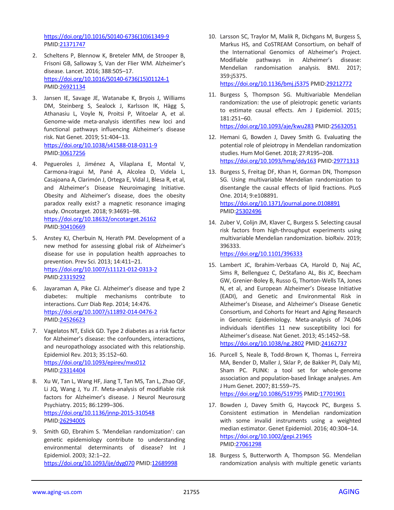[https://doi.org/10.1016/S0140-6736\(10\)61349-9](https://doi.org/10.1016/S0140-6736(10)61349-9) PMID[:21371747](https://pubmed.ncbi.nlm.nih.gov/21371747)

- 2. Scheltens P, Blennow K, Breteler MM, de Strooper B, Frisoni GB, Salloway S, Van der Flier WM. Alzheimer's disease. Lancet. 2016; 388:505–17. [https://doi.org/10.1016/S0140-6736\(15\)01124-1](https://doi.org/10.1016/S0140-6736(15)01124-1) PMID[:26921134](https://pubmed.ncbi.nlm.nih.gov/26921134)
- 3. Jansen IE, Savage JE, Watanabe K, Bryois J, Williams DM, Steinberg S, Sealock J, Karlsson IK, Hägg S, Athanasiu L, Voyle N, Proitsi P, Witoelar A, et al. Genome-wide meta-analysis identifies new loci and functional pathways influencing Alzheimer's disease risk. Nat Genet. 2019; 51:404–13. <https://doi.org/10.1038/s41588-018-0311-9> PMID[:30617256](https://pubmed.ncbi.nlm.nih.gov/30617256)
- 4. Pegueroles J, Jiménez A, Vilaplana E, Montal V, Carmona-Iragui M, Pané A, Alcolea D, Videla L, Casajoana A, Clarimón J, Ortega E, Vidal J, Blesa R, et al, and Alzheimer's Disease Neuroimaging Initiative. Obesity and Alzheimer's disease, does the obesity paradox really exist? a magnetic resonance imaging study. Oncotarget. 2018; 9:34691–98. <https://doi.org/10.18632/oncotarget.26162> PMID[:30410669](https://pubmed.ncbi.nlm.nih.gov/30410669)
- 5. Anstey KJ, Cherbuin N, Herath PM. Development of a new method for assessing global risk of Alzheimer's disease for use in population health approaches to prevention. Prev Sci. 2013; 14:411–21. <https://doi.org/10.1007/s11121-012-0313-2> PMID[:23319292](https://pubmed.ncbi.nlm.nih.gov/23319292)
- 6. Jayaraman A, Pike CJ. Alzheimer's disease and type 2 diabetes: multiple mechanisms contribute to interactions. Curr Diab Rep. 2014; 14:476. <https://doi.org/10.1007/s11892-014-0476-2> PMID[:24526623](https://pubmed.ncbi.nlm.nih.gov/24526623)
- 7. Vagelatos NT, Eslick GD. Type 2 diabetes as a risk factor for Alzheimer's disease: the confounders, interactions, and neuropathology associated with this relationship. Epidemiol Rev. 2013; 35:152–60. <https://doi.org/10.1093/epirev/mxs012> PMID[:23314404](https://pubmed.ncbi.nlm.nih.gov/23314404)
- 8. Xu W, Tan L, Wang HF, Jiang T, Tan MS, Tan L, Zhao QF, Li JQ, Wang J, Yu JT. Meta-analysis of modifiable risk factors for Alzheimer's disease. J Neurol Neurosurg Psychiatry. 2015; 86:1299–306. <https://doi.org/10.1136/jnnp-2015-310548> PMID[:26294005](https://pubmed.ncbi.nlm.nih.gov/26294005)
- 9. Smith GD, Ebrahim S. 'Mendelian randomization': can genetic epidemiology contribute to understanding environmental determinants of disease? Int J Epidemiol. 2003; 32:1–22. <https://doi.org/10.1093/ije/dyg070> PMID[:12689998](https://pubmed.ncbi.nlm.nih.gov/12689998)

10. Larsson SC, Traylor M, Malik R, Dichgans M, Burgess S, Markus HS, and CoSTREAM Consortium, on behalf of the International Genomics of Alzheimer's Project. Modifiable pathways in Alzheimer's disease: Mendelian randomisation analysis. BMJ. 2017; 359:j5375.

<https://doi.org/10.1136/bmj.j5375> PMID[:29212772](https://pubmed.ncbi.nlm.nih.gov/29212772)

- 11. Burgess S, Thompson SG. Multivariable Mendelian randomization: the use of pleiotropic genetic variants to estimate causal effects. Am J Epidemiol. 2015; 181:251–60. <https://doi.org/10.1093/aje/kwu283> PMI[D:25632051](https://pubmed.ncbi.nlm.nih.gov/25632051)
- 12. Hemani G, Bowden J, Davey Smith G. Evaluating the potential role of pleiotropy in Mendelian randomization studies. Hum Mol Genet. 2018; 27:R195–208. <https://doi.org/10.1093/hmg/ddy163> PMID[:29771313](https://pubmed.ncbi.nlm.nih.gov/29771313)
- 13. Burgess S, Freitag DF, Khan H, Gorman DN, Thompson SG. Using multivariable Mendelian randomization to disentangle the causal effects of lipid fractions. PLoS One. 2014; 9:e108891. <https://doi.org/10.1371/journal.pone.0108891> PMI[D:25302496](https://pubmed.ncbi.nlm.nih.gov/25302496)
- 14. Zuber V, Colijn JM, Klaver C, Burgess S. Selecting causal risk factors from high-throughput experiments using multivariable Mendelian randomization. bioRxiv. 2019; 396333.

<https://doi.org/10.1101/396333>

- 15. Lambert JC, Ibrahim-Verbaas CA, Harold D, Naj AC, Sims R, Bellenguez C, DeStafano AL, Bis JC, Beecham GW, Grenier-Boley B, Russo G, Thorton-Wells TA, Jones N, et al, and European Alzheimer's Disease Initiative (EADI), and Genetic and Environmental Risk in Alzheimer's Disease, and Alzheimer's Disease Genetic Consortium, and Cohorts for Heart and Aging Research in Genomic Epidemiology. Meta-analysis of 74,046 individuals identifies 11 new susceptibility loci for Alzheimer's disease. Nat Genet. 2013; 45:1452–58. <https://doi.org/10.1038/ng.2802> PMID[:24162737](https://pubmed.ncbi.nlm.nih.gov/24162737)
- 16. Purcell S, Neale B, Todd-Brown K, Thomas L, Ferreira MA, Bender D, Maller J, Sklar P, de Bakker PI, Daly MJ, Sham PC. PLINK: a tool set for whole-genome association and population-based linkage analyses. Am J Hum Genet. 2007; 81:559–75. <https://doi.org/10.1086/519795> PMID[:17701901](https://pubmed.ncbi.nlm.nih.gov/17701901)
- 17. Bowden J, Davey Smith G, Haycock PC, Burgess S. Consistent estimation in Mendelian randomization with some invalid instruments using a weighted median estimator. Genet Epidemiol. 2016; 40:304–14. <https://doi.org/10.1002/gepi.21965> PMI[D:27061298](https://pubmed.ncbi.nlm.nih.gov/27061298)
- 18. Burgess S, Butterworth A, Thompson SG. Mendelian randomization analysis with multiple genetic variants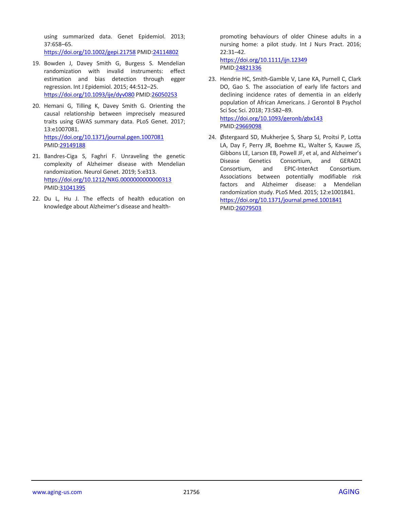using summarized data. Genet Epidemiol. 2013; 37:658–65.

<https://doi.org/10.1002/gepi.21758> PMID[:24114802](https://pubmed.ncbi.nlm.nih.gov/24114802)

- 19. Bowden J, Davey Smith G, Burgess S. Mendelian randomization with invalid instruments: effect estimation and bias detection through egger regression. Int J Epidemiol. 2015; 44:512–25. <https://doi.org/10.1093/ije/dyv080> PMI[D:26050253](https://pubmed.ncbi.nlm.nih.gov/26050253)
- 20. Hemani G, Tilling K, Davey Smith G. Orienting the causal relationship between imprecisely measured traits using GWAS summary data. PLoS Genet. 2017; 13:e1007081. <https://doi.org/10.1371/journal.pgen.1007081> PMID[:29149188](https://pubmed.ncbi.nlm.nih.gov/29149188)
- 21. Bandres-Ciga S, Faghri F. Unraveling the genetic complexity of Alzheimer disease with Mendelian randomization. Neurol Genet. 2019; 5:e313. <https://doi.org/10.1212/NXG.0000000000000313> PMID[:31041395](https://pubmed.ncbi.nlm.nih.gov/31041395)
- 22. Du L, Hu J. The effects of health education on knowledge about Alzheimer's disease and health-

promoting behaviours of older Chinese adults in a nursing home: a pilot study. Int J Nurs Pract. 2016; 22:31–42.

<https://doi.org/10.1111/ijn.12349> PMI[D:24821336](https://pubmed.ncbi.nlm.nih.gov/24821336)

- 23. Hendrie HC, Smith-Gamble V, Lane KA, Purnell C, Clark DO, Gao S. The association of early life factors and declining incidence rates of dementia in an elderly population of African Americans. J Gerontol B Psychol Sci Soc Sci. 2018; 73:S82–89. <https://doi.org/10.1093/geronb/gbx143> PMI[D:29669098](https://pubmed.ncbi.nlm.nih.gov/29669098)
- 24. Østergaard SD, Mukherjee S, Sharp SJ, Proitsi P, Lotta LA, Day F, Perry JR, Boehme KL, Walter S, Kauwe JS, Gibbons LE, Larson EB, Powell JF, et al, and Alzheimer's Disease Genetics Consortium, and GERAD1 Consortium, and EPIC-InterAct Consortium. Associations between potentially modifiable risk factors and Alzheimer disease: a Mendelian randomization study. PLoS Med. 2015; 12:e1001841. <https://doi.org/10.1371/journal.pmed.1001841> PMI[D:26079503](https://pubmed.ncbi.nlm.nih.gov/26079503)